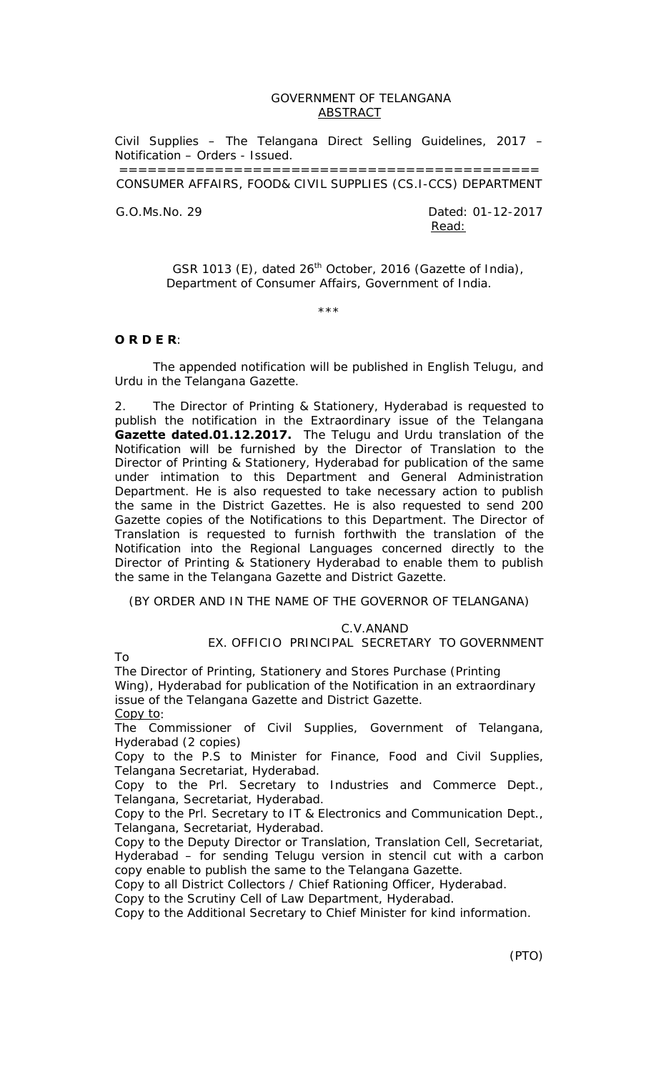## GOVERNMENT OF TELANGANA ABSTRACT

Civil Supplies – The Telangana Direct Selling Guidelines, 2017 – Notification – Orders - Issued.

============================================ CONSUMER AFFAIRS, FOOD& CIVIL SUPPLIES (CS.I-CCS) DEPARTMENT

G.O.Ms.No. 29 Dated: 01-12-2017 Read:

> GSR 1013 (E), dated  $26<sup>th</sup>$  October, 2016 (Gazette of India), Department of Consumer Affairs, Government of India.

> > \*\*\*

## **O R D E R**:

 The appended notification will be published in English Telugu, and Urdu in the Telangana Gazette.

2. The Director of Printing & Stationery, Hyderabad is requested to publish the notification in the Extraordinary issue of the Telangana **Gazette dated.01.12.2017.** The Telugu and Urdu translation of the Notification will be furnished by the Director of Translation to the Director of Printing & Stationery, Hyderabad for publication of the same under intimation to this Department and General Administration Department. He is also requested to take necessary action to publish the same in the District Gazettes. He is also requested to send 200 Gazette copies of the Notifications to this Department. The Director of Translation is requested to furnish forthwith the translation of the Notification into the Regional Languages concerned directly to the Director of Printing & Stationery Hyderabad to enable them to publish the same in the Telangana Gazette and District Gazette.

(BY ORDER AND IN THE NAME OF THE GOVERNOR OF TELANGANA)

### C.V.ANAND

EX. OFFICIO PRINCIPAL SECRETARY TO GOVERNMENT

To

The Director of Printing, Stationery and Stores Purchase (Printing Wing), Hyderabad for publication of the Notification in an extraordinary issue of the Telangana Gazette and District Gazette.

Copy to:

The Commissioner of Civil Supplies, Government of Telangana, Hyderabad (2 copies)

Copy to the P.S to Minister for Finance, Food and Civil Supplies, Telangana Secretariat, Hyderabad.

Copy to the Prl. Secretary to Industries and Commerce Dept., Telangana, Secretariat, Hyderabad.

Copy to the Prl. Secretary to IT & Electronics and Communication Dept., Telangana, Secretariat, Hyderabad.

Copy to the Deputy Director or Translation, Translation Cell, Secretariat, Hyderabad – for sending Telugu version in stencil cut with a carbon copy enable to publish the same to the Telangana Gazette.

Copy to all District Collectors / Chief Rationing Officer, Hyderabad.

Copy to the Scrutiny Cell of Law Department, Hyderabad.

Copy to the Additional Secretary to Chief Minister for kind information.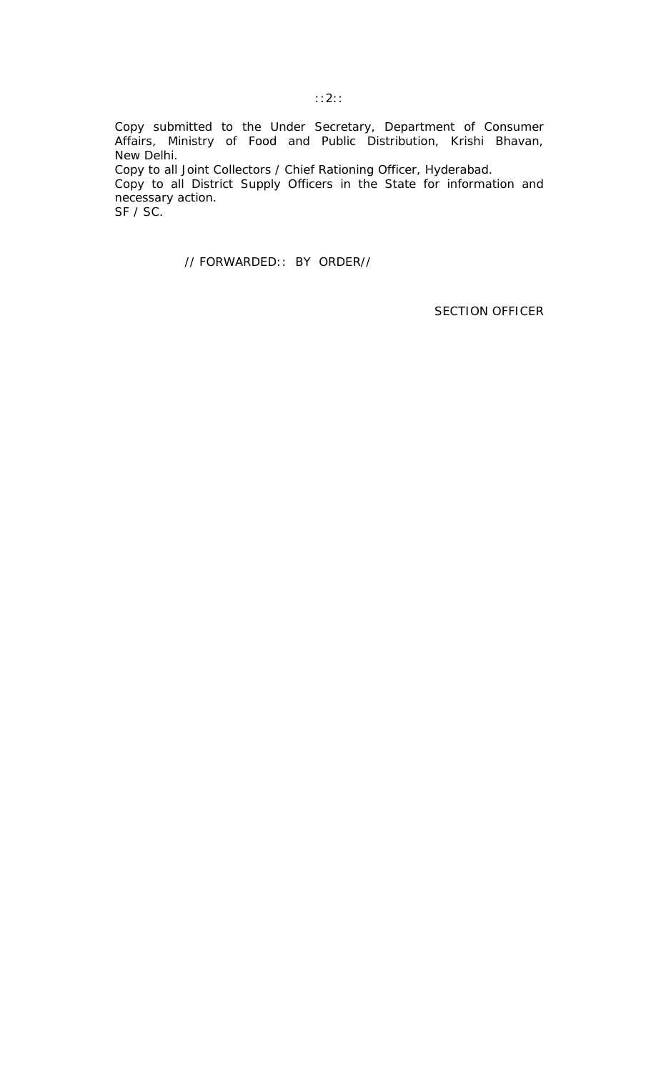Copy submitted to the Under Secretary, Department of Consumer Affairs, Ministry of Food and Public Distribution, Krishi Bhavan, New Delhi. Copy to all Joint Collectors / Chief Rationing Officer, Hyderabad. Copy to all District Supply Officers in the State for information and necessary action. SF / SC.

// FORWARDED:: BY ORDER//

SECTION OFFICER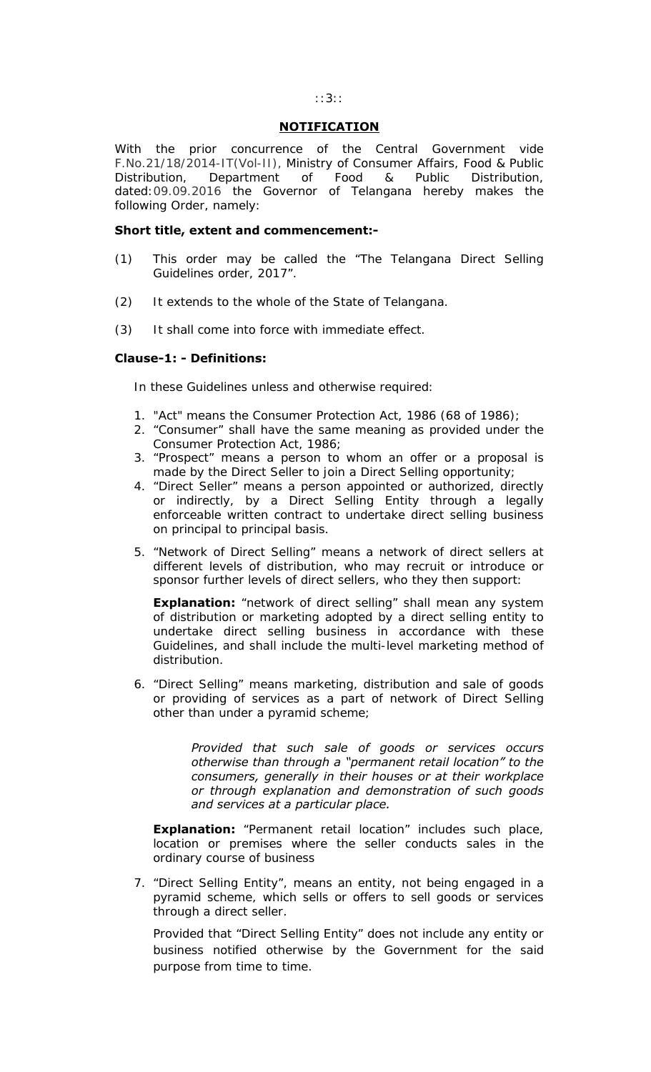## **NOTIFICATION**

With the prior concurrence of the Central Government vide F.No.21/18/2014-IT(Vol-II), Ministry of Consumer Affairs, Food & Public Distribution, Department of Food & Public Distribution, dated:09.09.2016 the Governor of Telangana hereby makes the following Order, namely:

## **Short title, extent and commencement:-**

- (1) This order may be called the "The Telangana Direct Selling Guidelines order, 2017".
- (2) It extends to the whole of the State of Telangana.
- (3) It shall come into force with immediate effect.

## **Clause-1: - Definitions:**

In these Guidelines unless and otherwise required:

- 1. "Act" means the Consumer Protection Act, 1986 (68 of 1986);
- 2. "Consumer" shall have the same meaning as provided under the Consumer Protection Act, 1986;
- 3. "Prospect" means a person to whom an offer or a proposal is made by the Direct Seller to join a Direct Selling opportunity;
- 4. "Direct Seller" means a person appointed or authorized, directly or indirectly, by a Direct Selling Entity through a legally enforceable written contract to undertake direct selling business on principal to principal basis.
- 5. "Network of Direct Selling" means a network of direct sellers at different levels of distribution, who may recruit or introduce or sponsor further levels of direct sellers, who they then support:

**Explanation:** "network of direct selling" shall mean any system of distribution or marketing adopted by a direct selling entity to undertake direct selling business in accordance with these Guidelines, and shall include the multi-level marketing method of distribution.

6. "Direct Selling" means marketing, distribution and sale of goods or providing of services as a part of network of Direct Selling other than under a pyramid scheme;

> *Provided that such sale of goods or services occurs otherwise than through a "permanent retail location" to the consumers, generally in their houses or at their workplace or through explanation and demonstration of such goods and services at a particular place.*

**Explanation:** "Permanent retail location" includes such place, location or premises where the seller conducts sales in the ordinary course of business

7. "Direct Selling Entity", means an entity, not being engaged in a pyramid scheme, which sells or offers to sell goods or services through a direct seller.

Provided that "Direct Selling Entity" does not include any entity or business notified otherwise by the Government for the said purpose from time to time.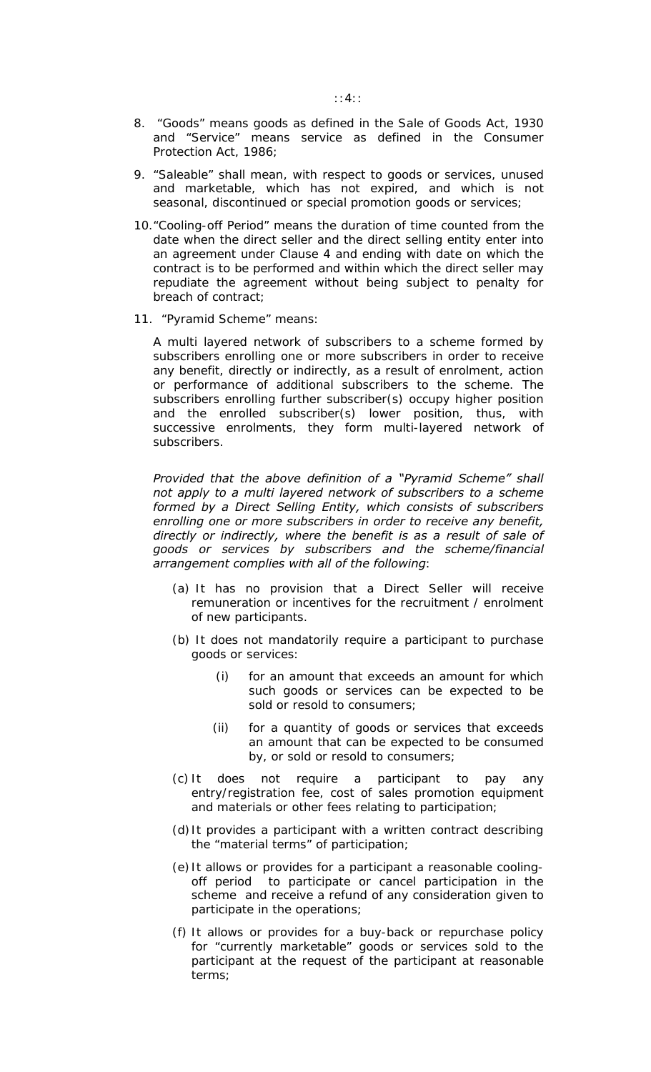- 8. "Goods" means goods as defined in the Sale of Goods Act, 1930 and "Service" means service as defined in the Consumer Protection Act, 1986;
- 9. "Saleable" shall mean, with respect to goods or services, unused and marketable, which has not expired, and which is not seasonal, discontinued or special promotion goods or services;
- 10."Cooling-off Period" means the duration of time counted from the date when the direct seller and the direct selling entity enter into an agreement under Clause 4 and ending with date on which the contract is to be performed and within which the direct seller may repudiate the agreement without being subject to penalty for breach of contract;
- 11. "Pyramid Scheme" means:

A multi layered network of subscribers to a scheme formed by subscribers enrolling one or more subscribers in order to receive any benefit, directly or indirectly, as a result of enrolment, action or performance of additional subscribers to the scheme. The subscribers enrolling further subscriber(s) occupy higher position and the enrolled subscriber(s) lower position, thus, with successive enrolments, they form multi-layered network of subscribers.

*Provided that the above definition of a "Pyramid Scheme" shall not apply to a multi layered network of subscribers to a scheme formed by a Direct Selling Entity, which consists of subscribers enrolling one or more subscribers in order to receive any benefit, directly or indirectly, where the benefit is as a result of sale of goods or services by subscribers and the scheme/financial arrangement complies with all of the following*:

- (a) It has no provision that a Direct Seller will receive remuneration or incentives for the recruitment / enrolment of new participants.
- (b) It does not mandatorily require a participant to purchase goods or services:
	- (i) for an amount that exceeds an amount for which such goods or services can be expected to be sold or resold to consumers;
	- (ii) for a quantity of goods or services that exceeds an amount that can be expected to be consumed by, or sold or resold to consumers;
- (c) It does not require a participant to pay any entry/registration fee, cost of sales promotion equipment and materials or other fees relating to participation;
- (d)It provides a participant with a written contract describing the "material terms" of participation;
- (e) It allows or provides for a participant a reasonable coolingoff period to participate or cancel participation in the scheme and receive a refund of any consideration given to participate in the operations;
- (f) It allows or provides for a buy-back or repurchase policy for "currently marketable" goods or services sold to the participant at the request of the participant at reasonable terms;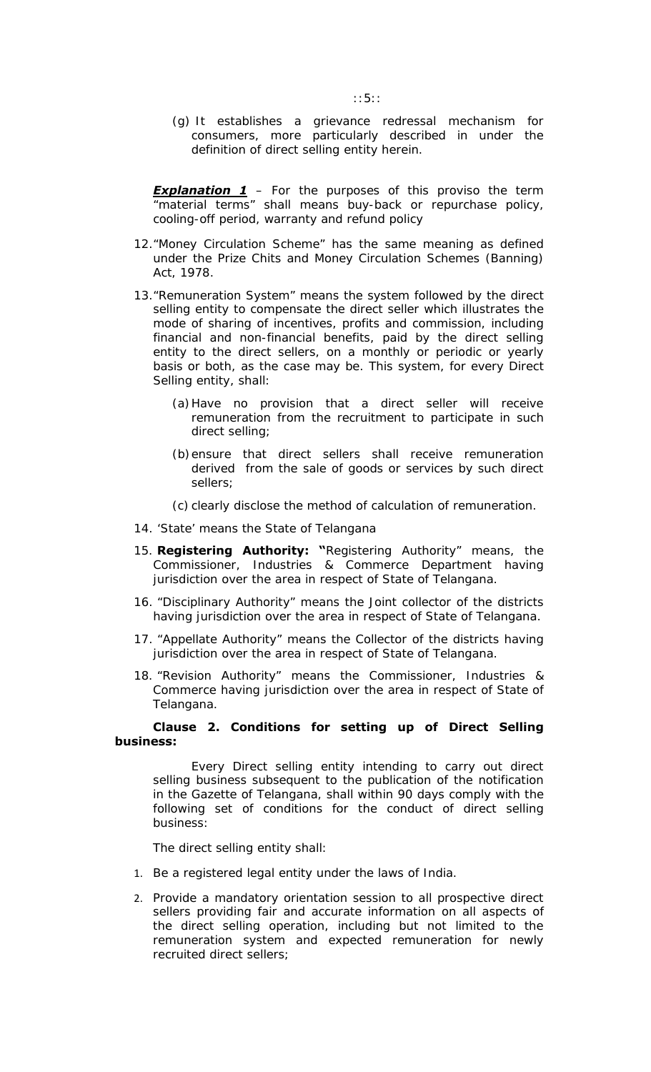(g) It establishes a grievance redressal mechanism for consumers, more particularly described in under the definition of direct selling entity herein.

**Explanation 1** - For the purposes of this proviso the term "material terms" shall means buy-back or repurchase policy, cooling-off period, warranty and refund policy

- 12."Money Circulation Scheme" has the same meaning as defined under the Prize Chits and Money Circulation Schemes (Banning) Act, 1978.
- 13."Remuneration System" means the system followed by the direct selling entity to compensate the direct seller which illustrates the mode of sharing of incentives, profits and commission, including financial and non-financial benefits, paid by the direct selling entity to the direct sellers, on a monthly or periodic or yearly basis or both, as the case may be. This system, for every Direct Selling entity, shall:
	- (a)Have no provision that a direct seller will receive remuneration from the recruitment to participate in such direct selling;
	- (b)ensure that direct sellers shall receive remuneration derived from the sale of goods or services by such direct sellers;
	- (c) clearly disclose the method of calculation of remuneration.
- 14. 'State' means the State of Telangana
- 15. **Registering Authority: "**Registering Authority" means, the Commissioner, Industries & Commerce Department having jurisdiction over the area in respect of State of Telangana.
- 16. "Disciplinary Authority" means the Joint collector of the districts having jurisdiction over the area in respect of State of Telangana.
- 17. "Appellate Authority" means the Collector of the districts having jurisdiction over the area in respect of State of Telangana.
- 18. "Revision Authority" means the Commissioner, Industries & Commerce having jurisdiction over the area in respect of State of Telangana.

## **Clause 2. Conditions for setting up of Direct Selling business:**

Every Direct selling entity intending to carry out direct selling business subsequent to the publication of the notification in the Gazette of Telangana, shall within 90 days comply with the following set of conditions for the conduct of direct selling business:

The direct selling entity shall:

- 1. Be a registered legal entity under the laws of India.
- 2. Provide a mandatory orientation session to all prospective direct sellers providing fair and accurate information on all aspects of the direct selling operation, including but not limited to the remuneration system and expected remuneration for newly recruited direct sellers;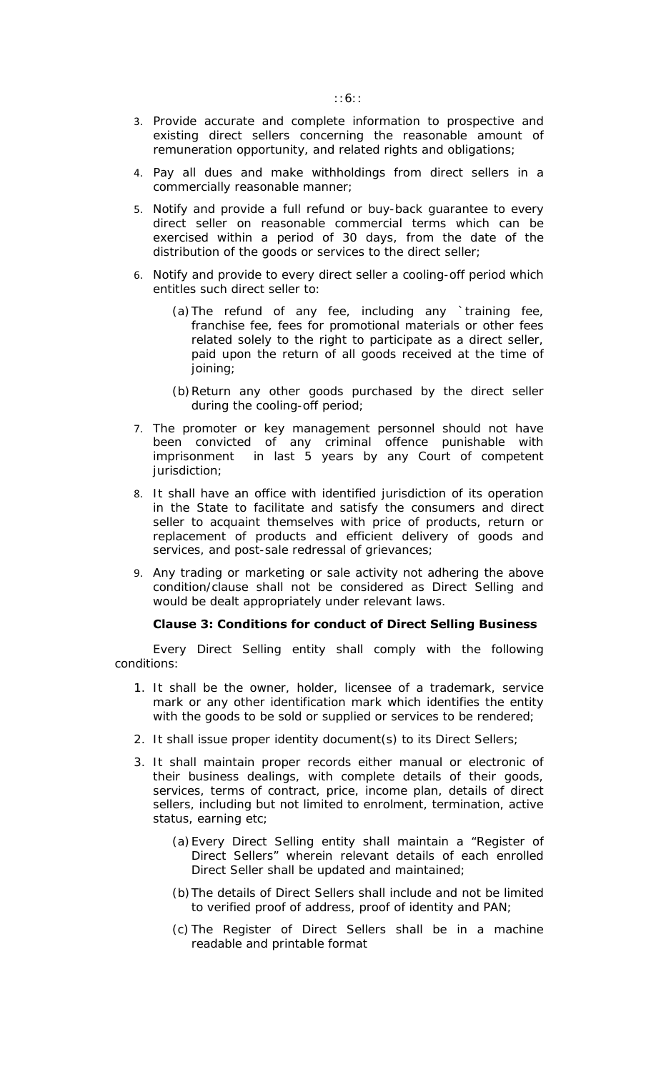- 3. Provide accurate and complete information to prospective and existing direct sellers concerning the reasonable amount of remuneration opportunity, and related rights and obligations;
- 4. Pay all dues and make withholdings from direct sellers in a commercially reasonable manner;
- 5. Notify and provide a full refund or buy-back guarantee to every direct seller on reasonable commercial terms which can be exercised within a period of 30 days, from the date of the distribution of the goods or services to the direct seller;
- 6. Notify and provide to every direct seller a cooling-off period which entitles such direct seller to:
	- (a)The refund of any fee, including any `training fee, franchise fee, fees for promotional materials or other fees related solely to the right to participate as a direct seller, paid upon the return of all goods received at the time of joining;
	- (b)Return any other goods purchased by the direct seller during the cooling-off period;
- 7. The promoter or key management personnel should not have been convicted of any criminal offence punishable with imprisonment in last 5 years by any Court of competent jurisdiction;
- 8. It shall have an office with identified jurisdiction of its operation in the State to facilitate and satisfy the consumers and direct seller to acquaint themselves with price of products, return or replacement of products and efficient delivery of goods and services, and post-sale redressal of grievances;
- 9. Any trading or marketing or sale activity not adhering the above condition/clause shall not be considered as Direct Selling and would be dealt appropriately under relevant laws.

### **Clause 3: Conditions for conduct of Direct Selling Business**

Every Direct Selling entity shall comply with the following conditions:

- 1. It shall be the owner, holder, licensee of a trademark, service mark or any other identification mark which identifies the entity with the goods to be sold or supplied or services to be rendered;
- 2. It shall issue proper identity document(s) to its Direct Sellers;
- 3. It shall maintain proper records either manual or electronic of their business dealings, with complete details of their goods, services, terms of contract, price, income plan, details of direct sellers, including but not limited to enrolment, termination, active status, earning etc;
	- (a)Every Direct Selling entity shall maintain a "Register of Direct Sellers" wherein relevant details of each enrolled Direct Seller shall be updated and maintained;
	- (b)The details of Direct Sellers shall include and not be limited to verified proof of address, proof of identity and PAN;
	- (c) The Register of Direct Sellers shall be in a machine readable and printable format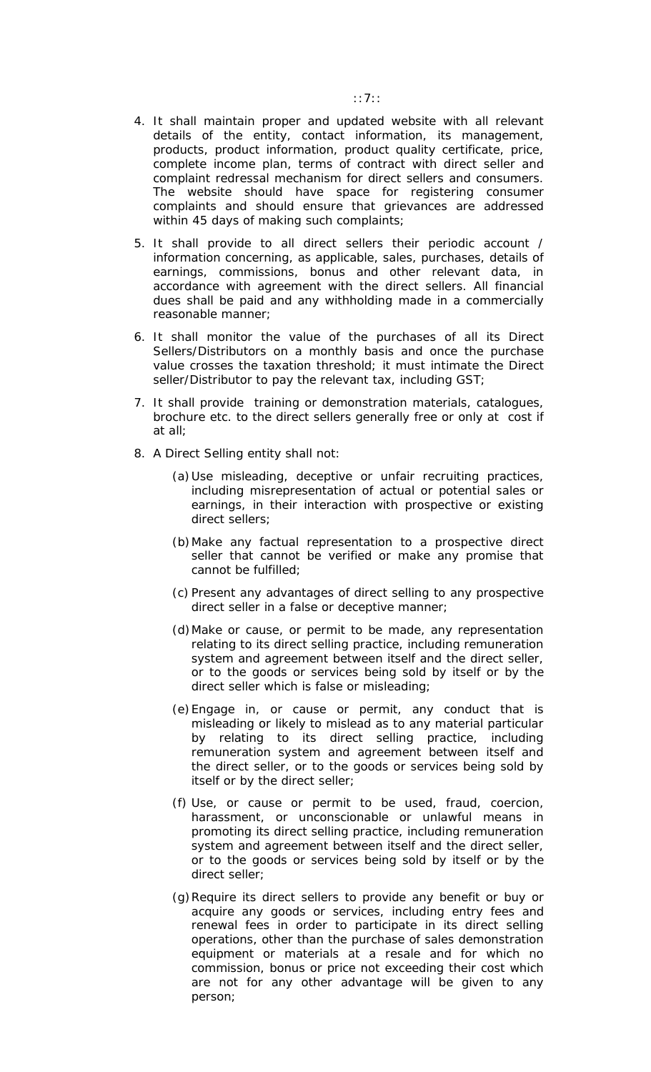- 4. It shall maintain proper and updated website with all relevant details of the entity, contact information, its management, products, product information, product quality certificate, price, complete income plan, terms of contract with direct seller and complaint redressal mechanism for direct sellers and consumers. The website should have space for registering consumer complaints and should ensure that grievances are addressed within 45 days of making such complaints;
- 5. It shall provide to all direct sellers their periodic account / information concerning, as applicable, sales, purchases, details of earnings, commissions, bonus and other relevant data, in accordance with agreement with the direct sellers. All financial dues shall be paid and any withholding made in a commercially reasonable manner;
- 6. It shall monitor the value of the purchases of all its Direct Sellers/Distributors on a monthly basis and once the purchase value crosses the taxation threshold; it must intimate the Direct seller/Distributor to pay the relevant tax, including GST;
- 7. It shall provide training or demonstration materials, catalogues, brochure etc. to the direct sellers generally free or only at cost if at all;
- 8. A Direct Selling entity shall not:
	- (a)Use misleading, deceptive or unfair recruiting practices, including misrepresentation of actual or potential sales or earnings, in their interaction with prospective or existing direct sellers;
	- (b)Make any factual representation to a prospective direct seller that cannot be verified or make any promise that cannot be fulfilled;
	- (c) Present any advantages of direct selling to any prospective direct seller in a false or deceptive manner;
	- (d)Make or cause, or permit to be made, any representation relating to its direct selling practice, including remuneration system and agreement between itself and the direct seller, or to the goods or services being sold by itself or by the direct seller which is false or misleading;
	- (e)Engage in, or cause or permit, any conduct that is misleading or likely to mislead as to any material particular by relating to its direct selling practice, including remuneration system and agreement between itself and the direct seller, or to the goods or services being sold by itself or by the direct seller;
	- (f) Use, or cause or permit to be used, fraud, coercion, harassment, or unconscionable or unlawful means in promoting its direct selling practice, including remuneration system and agreement between itself and the direct seller, or to the goods or services being sold by itself or by the direct seller;
	- (g)Require its direct sellers to provide any benefit or buy or acquire any goods or services, including entry fees and renewal fees in order to participate in its direct selling operations, other than the purchase of sales demonstration equipment or materials at a resale and for which no commission, bonus or price not exceeding their cost which are not for any other advantage will be given to any person;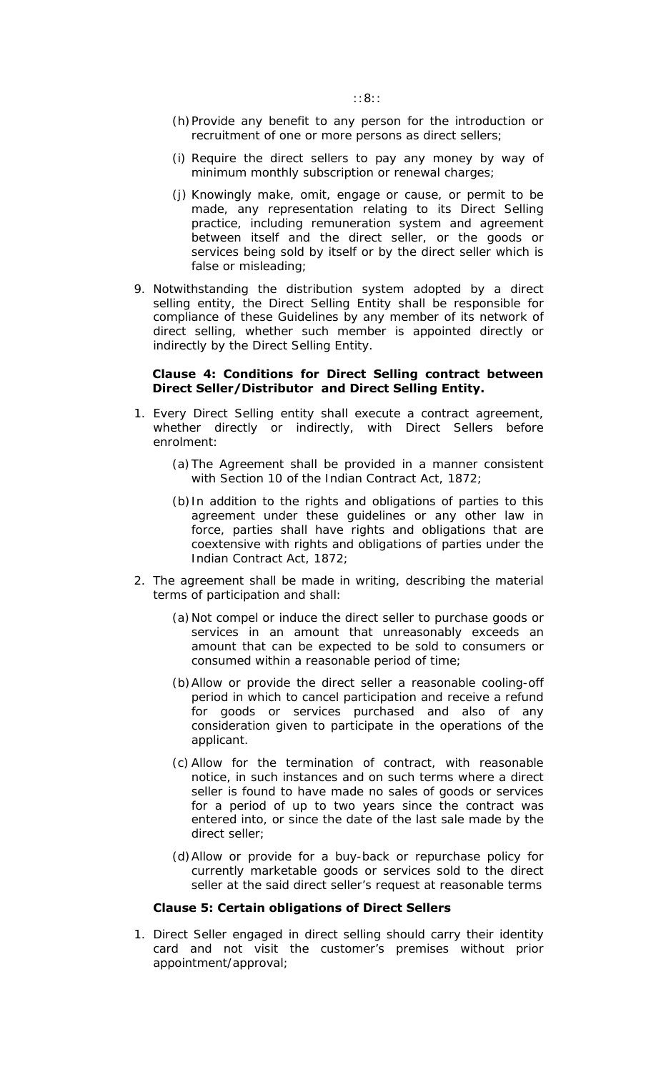- (h)Provide any benefit to any person for the introduction or recruitment of one or more persons as direct sellers;
- (i) Require the direct sellers to pay any money by way of minimum monthly subscription or renewal charges;
- (j) Knowingly make, omit, engage or cause, or permit to be made, any representation relating to its Direct Selling practice, including remuneration system and agreement between itself and the direct seller, or the goods or services being sold by itself or by the direct seller which is false or misleading;
- 9. Notwithstanding the distribution system adopted by a direct selling entity, the Direct Selling Entity shall be responsible for compliance of these Guidelines by any member of its network of direct selling, whether such member is appointed directly or indirectly by the Direct Selling Entity.

### **Clause 4: Conditions for Direct Selling contract between Direct Seller/Distributor and Direct Selling Entity.**

- 1. Every Direct Selling entity shall execute a contract agreement, whether directly or indirectly, with Direct Sellers before enrolment:
	- (a)The Agreement shall be provided in a manner consistent with Section 10 of the Indian Contract Act, 1872;
	- (b)In addition to the rights and obligations of parties to this agreement under these guidelines or any other law in force, parties shall have rights and obligations that are coextensive with rights and obligations of parties under the Indian Contract Act, 1872;
- 2. The agreement shall be made in writing, describing the material terms of participation and shall:
	- (a)Not compel or induce the direct seller to purchase goods or services in an amount that unreasonably exceeds an amount that can be expected to be sold to consumers or consumed within a reasonable period of time;
	- (b)Allow or provide the direct seller a reasonable cooling-off period in which to cancel participation and receive a refund for goods or services purchased and also of any consideration given to participate in the operations of the applicant.
	- (c) Allow for the termination of contract, with reasonable notice, in such instances and on such terms where a direct seller is found to have made no sales of goods or services for a period of up to two years since the contract was entered into, or since the date of the last sale made by the direct seller;
	- (d)Allow or provide for a buy-back or repurchase policy for currently marketable goods or services sold to the direct seller at the said direct seller's request at reasonable terms

### **Clause 5: Certain obligations of Direct Sellers**

1. Direct Seller engaged in direct selling should carry their identity card and not visit the customer's premises without prior appointment/approval;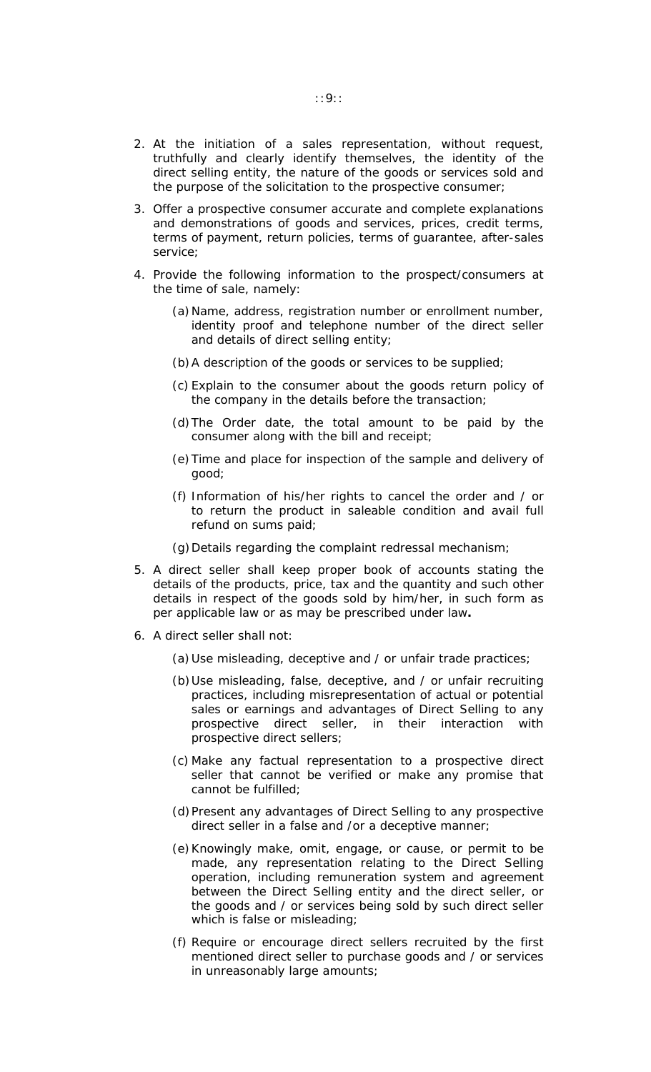- 2. At the initiation of a sales representation, without request, truthfully and clearly identify themselves, the identity of the direct selling entity, the nature of the goods or services sold and the purpose of the solicitation to the prospective consumer;
- 3. Offer a prospective consumer accurate and complete explanations and demonstrations of goods and services, prices, credit terms, terms of payment, return policies, terms of guarantee, after-sales service;
- 4. Provide the following information to the prospect/consumers at the time of sale, namely:
	- (a)Name, address, registration number or enrollment number, identity proof and telephone number of the direct seller and details of direct selling entity;
	- (b)A description of the goods or services to be supplied;
	- (c) Explain to the consumer about the goods return policy of the company in the details before the transaction;
	- (d)The Order date, the total amount to be paid by the consumer along with the bill and receipt;
	- (e)Time and place for inspection of the sample and delivery of good;
	- (f) Information of his/her rights to cancel the order and / or to return the product in saleable condition and avail full refund on sums paid;
	- (g)Details regarding the complaint redressal mechanism;
- 5. A direct seller shall keep proper book of accounts stating the details of the products, price, tax and the quantity and such other details in respect of the goods sold by him/her, in such form as per applicable law or as may be prescribed under law**.**
- 6. A direct seller shall not:
	- (a)Use misleading, deceptive and / or unfair trade practices;
	- (b)Use misleading, false, deceptive, and / or unfair recruiting practices, including misrepresentation of actual or potential sales or earnings and advantages of Direct Selling to any prospective direct seller, in their interaction with prospective direct sellers;
	- (c) Make any factual representation to a prospective direct seller that cannot be verified or make any promise that cannot be fulfilled;
	- (d)Present any advantages of Direct Selling to any prospective direct seller in a false and /or a deceptive manner;
	- (e)Knowingly make, omit, engage, or cause, or permit to be made, any representation relating to the Direct Selling operation, including remuneration system and agreement between the Direct Selling entity and the direct seller, or the goods and / or services being sold by such direct seller which is false or misleading;
	- (f) Require or encourage direct sellers recruited by the first mentioned direct seller to purchase goods and / or services in unreasonably large amounts;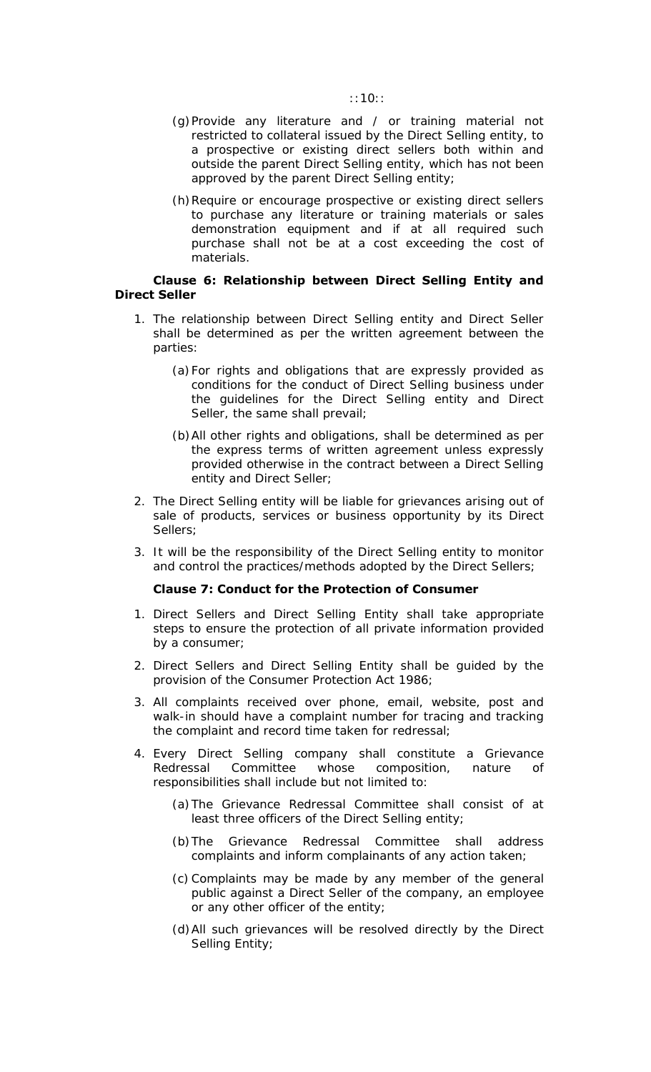- (g)Provide any literature and / or training material not restricted to collateral issued by the Direct Selling entity, to a prospective or existing direct sellers both within and outside the parent Direct Selling entity, which has not been approved by the parent Direct Selling entity;
- (h)Require or encourage prospective or existing direct sellers to purchase any literature or training materials or sales demonstration equipment and if at all required such purchase shall not be at a cost exceeding the cost of materials.

## **Clause 6: Relationship between Direct Selling Entity and Direct Seller**

- 1. The relationship between Direct Selling entity and Direct Seller shall be determined as per the written agreement between the parties:
	- (a)For rights and obligations that are expressly provided as conditions for the conduct of Direct Selling business under the guidelines for the Direct Selling entity and Direct Seller, the same shall prevail;
	- (b)All other rights and obligations, shall be determined as per the express terms of written agreement unless expressly provided otherwise in the contract between a Direct Selling entity and Direct Seller;
- 2. The Direct Selling entity will be liable for grievances arising out of sale of products, services or business opportunity by its Direct Sellers;
- 3. It will be the responsibility of the Direct Selling entity to monitor and control the practices/methods adopted by the Direct Sellers;

### **Clause 7: Conduct for the Protection of Consumer**

- 1. Direct Sellers and Direct Selling Entity shall take appropriate steps to ensure the protection of all private information provided by a consumer;
- 2. Direct Sellers and Direct Selling Entity shall be guided by the provision of the Consumer Protection Act 1986;
- 3. All complaints received over phone, email, website, post and walk-in should have a complaint number for tracing and tracking the complaint and record time taken for redressal;
- 4. Every Direct Selling company shall constitute a Grievance Redressal Committee whose composition, nature of responsibilities shall include but not limited to:
	- (a)The Grievance Redressal Committee shall consist of at least three officers of the Direct Selling entity;
	- (b)The Grievance Redressal Committee shall address complaints and inform complainants of any action taken;
	- (c) Complaints may be made by any member of the general public against a Direct Seller of the company, an employee or any other officer of the entity;
	- (d)All such grievances will be resolved directly by the Direct Selling Entity;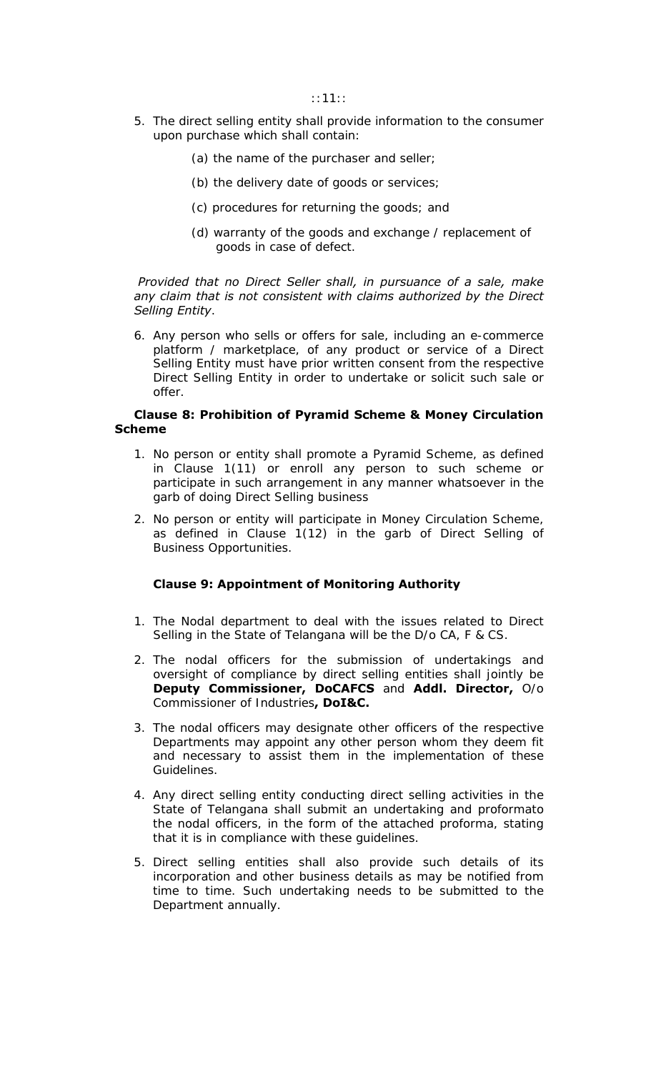- 5. The direct selling entity shall provide information to the consumer upon purchase which shall contain:
	- (a) the name of the purchaser and seller;
	- (b) the delivery date of goods or services;
	- (c) procedures for returning the goods; and
	- (d) warranty of the goods and exchange / replacement of goods in case of defect.

 *Provided that no Direct Seller shall, in pursuance of a sale, make any claim that is not consistent with claims authorized by the Direct Selling Entity*.

6. Any person who sells or offers for sale, including an e-commerce platform / marketplace, of any product or service of a Direct Selling Entity must have prior written consent from the respective Direct Selling Entity in order to undertake or solicit such sale or offer.

## **Clause 8: Prohibition of Pyramid Scheme & Money Circulation Scheme**

- 1. No person or entity shall promote a Pyramid Scheme, as defined in Clause 1(11) or enroll any person to such scheme or participate in such arrangement in any manner whatsoever in the garb of doing Direct Selling business
- 2. No person or entity will participate in Money Circulation Scheme, as defined in Clause 1(12) in the garb of Direct Selling of Business Opportunities.

### **Clause 9: Appointment of Monitoring Authority**

- 1. The Nodal department to deal with the issues related to Direct Selling in the State of Telangana will be the D/o CA, F & CS.
- 2. The nodal officers for the submission of undertakings and oversight of compliance by direct selling entities shall jointly be **Deputy Commissioner, DoCAFCS** and **Addl. Director,** O/o Commissioner of Industries**, DoI&C.**
- 3. The nodal officers may designate other officers of the respective Departments may appoint any other person whom they deem fit and necessary to assist them in the implementation of these Guidelines.
- 4. Any direct selling entity conducting direct selling activities in the State of Telangana shall submit an undertaking and proformato the nodal officers, in the form of the attached proforma, stating that it is in compliance with these guidelines.
- 5. Direct selling entities shall also provide such details of its incorporation and other business details as may be notified from time to time. Such undertaking needs to be submitted to the Department annually.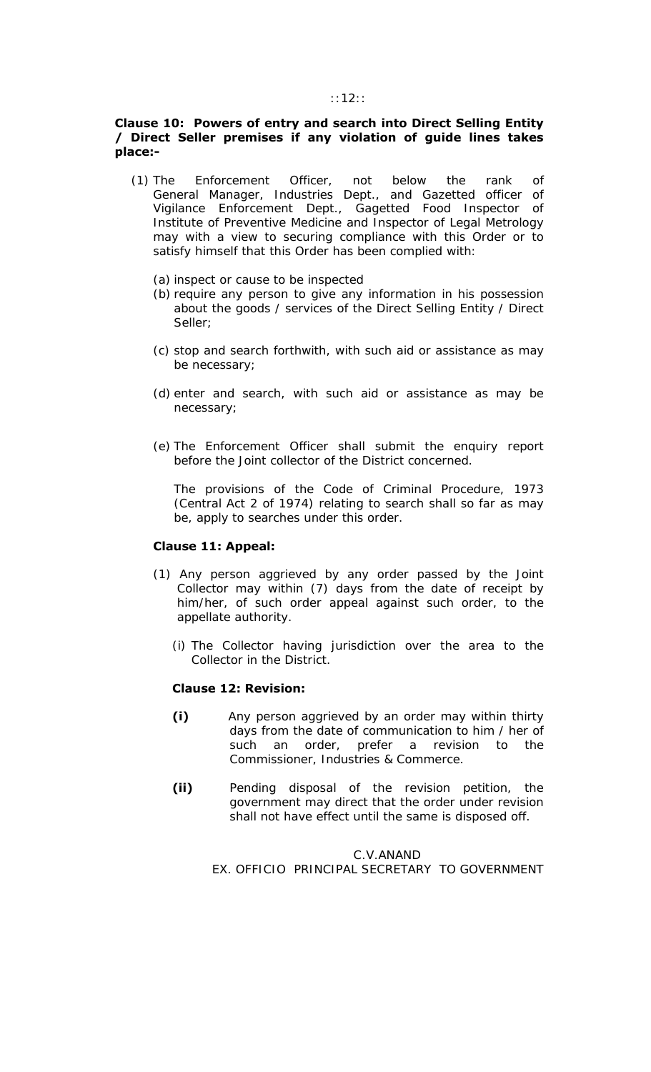#### ::12::

## **Clause 10: Powers of entry and search into Direct Selling Entity / Direct Seller premises if any violation of guide lines takes place:-**

- (1) The Enforcement Officer, not below the rank of General Manager, Industries Dept., and Gazetted officer of Vigilance Enforcement Dept., Gagetted Food Inspector of Institute of Preventive Medicine and Inspector of Legal Metrology may with a view to securing compliance with this Order or to satisfy himself that this Order has been complied with:
	- (a) inspect or cause to be inspected
	- (b) require any person to give any information in his possession about the goods / services of the Direct Selling Entity / Direct Seller;
	- (c) stop and search forthwith, with such aid or assistance as may be necessary;
	- (d) enter and search, with such aid or assistance as may be necessary;
	- (e) The Enforcement Officer shall submit the enquiry report before the Joint collector of the District concerned.

The provisions of the Code of Criminal Procedure, 1973 (Central Act 2 of 1974) relating to search shall so far as may be, apply to searches under this order.

### **Clause 11: Appeal:**

- (1) Any person aggrieved by any order passed by the Joint Collector may within (7) days from the date of receipt by him/her, of such order appeal against such order, to the appellate authority.
	- (i) The Collector having jurisdiction over the area to the Collector in the District.

### **Clause 12: Revision:**

- **(i)** Any person aggrieved by an order may within thirty days from the date of communication to him / her of such an order, prefer a revision to the Commissioner, Industries & Commerce.
- **(ii)** Pending disposal of the revision petition, the government may direct that the order under revision shall not have effect until the same is disposed off.

## C.V.ANAND EX. OFFICIO PRINCIPAL SECRETARY TO GOVERNMENT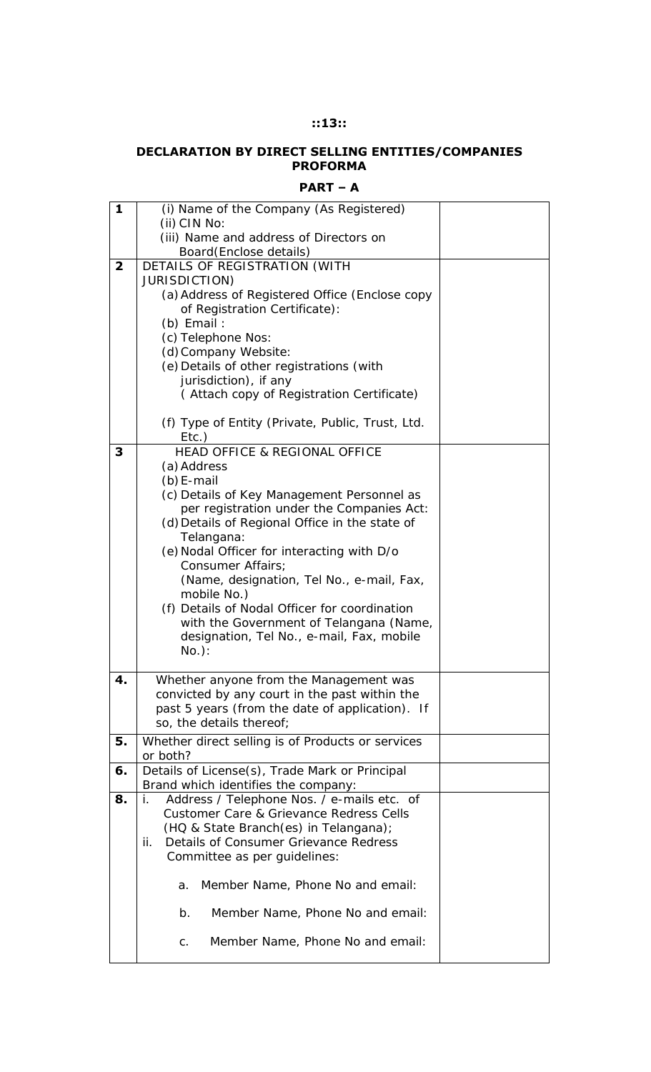## **::13::**

### **DECLARATION BY DIRECT SELLING ENTITIES/COMPANIES PROFORMA**

| . .<br>. .<br>×. |  |
|------------------|--|
|------------------|--|

| 1              | (i) Name of the Company (As Registered)<br>(ii) CIN No:                                 |  |
|----------------|-----------------------------------------------------------------------------------------|--|
|                | (iii) Name and address of Directors on                                                  |  |
|                | Board (Enclose details)                                                                 |  |
| $\overline{2}$ | DETAILS OF REGISTRATION (WITH                                                           |  |
|                | <b>JURISDICTION)</b>                                                                    |  |
|                | (a) Address of Registered Office (Enclose copy                                          |  |
|                | of Registration Certificate):                                                           |  |
|                | $(b)$ Email :                                                                           |  |
|                | (c) Telephone Nos:                                                                      |  |
|                | (d) Company Website:                                                                    |  |
|                | (e) Details of other registrations (with                                                |  |
|                | jurisdiction), if any                                                                   |  |
|                | (Attach copy of Registration Certificate)                                               |  |
|                |                                                                                         |  |
|                | (f) Type of Entity (Private, Public, Trust, Ltd.                                        |  |
|                | $Etc.$ )                                                                                |  |
| 3              | <b>HEAD OFFICE &amp; REGIONAL OFFICE</b>                                                |  |
|                | (a) Address                                                                             |  |
|                | $(b)$ E-mail                                                                            |  |
|                | (c) Details of Key Management Personnel as                                              |  |
|                | per registration under the Companies Act:                                               |  |
|                | (d) Details of Regional Office in the state of                                          |  |
|                | Telangana:                                                                              |  |
|                |                                                                                         |  |
|                | (e) Nodal Officer for interacting with D/o                                              |  |
|                | Consumer Affairs;                                                                       |  |
|                | (Name, designation, Tel No., e-mail, Fax,                                               |  |
|                | mobile No.)                                                                             |  |
|                | (f) Details of Nodal Officer for coordination                                           |  |
|                | with the Government of Telangana (Name,                                                 |  |
|                | designation, Tel No., e-mail, Fax, mobile                                               |  |
|                | $No.$ :                                                                                 |  |
| 4.             | Whether anyone from the Management was                                                  |  |
|                | convicted by any court in the past within the                                           |  |
|                | past 5 years (from the date of application). If                                         |  |
|                | so, the details thereof;                                                                |  |
|                |                                                                                         |  |
| 5.             | Whether direct selling is of Products or services                                       |  |
|                | or both?                                                                                |  |
| 6.             | Details of License(s), Trade Mark or Principal                                          |  |
| 8.             | Brand which identifies the company:<br>Address / Telephone Nos. / e-mails etc. of<br>İ. |  |
|                | Customer Care & Grievance Redress Cells                                                 |  |
|                |                                                                                         |  |
|                | (HQ & State Branch(es) in Telangana);<br>Details of Consumer Grievance Redress<br>ij.   |  |
|                |                                                                                         |  |
|                | Committee as per guidelines:                                                            |  |
|                | Member Name, Phone No and email:<br>а.                                                  |  |
|                |                                                                                         |  |
|                | Member Name, Phone No and email:<br>b.                                                  |  |
|                | Member Name, Phone No and email:<br>C.                                                  |  |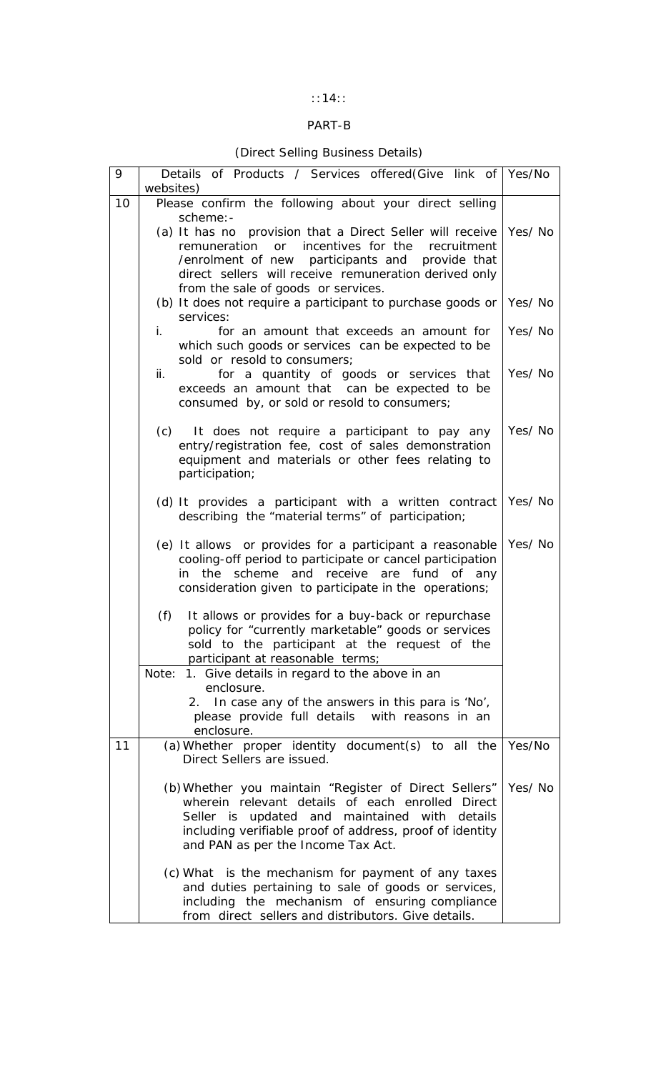# ::14::

# PART-B

# (Direct Selling Business Details)

| 9  | Details of Products / Services offered (Give link of Yes/No<br>websites)                                                                                                                                                                                             |        |
|----|----------------------------------------------------------------------------------------------------------------------------------------------------------------------------------------------------------------------------------------------------------------------|--------|
| 10 | Please confirm the following about your direct selling<br>scheme: -                                                                                                                                                                                                  |        |
|    | (a) It has no provision that a Direct Seller will receive<br>remuneration or incentives for the<br>recruitment<br>/enrolment of new<br>participants and provide that<br>direct sellers will receive remuneration derived only<br>from the sale of goods or services. | Yes/No |
|    | (b) It does not require a participant to purchase goods or<br>services:                                                                                                                                                                                              | Yes/No |
|    | i.<br>for an amount that exceeds an amount for<br>which such goods or services can be expected to be<br>sold or resold to consumers;                                                                                                                                 | Yes/No |
|    | ii.<br>for a quantity of goods or services that<br>exceeds an amount that can be expected to be<br>consumed by, or sold or resold to consumers;                                                                                                                      | Yes/No |
|    | It does not require a participant to pay any<br>(c)<br>entry/registration fee, cost of sales demonstration<br>equipment and materials or other fees relating to<br>participation;                                                                                    | Yes/No |
|    | (d) It provides a participant with a written contract<br>describing the "material terms" of participation;                                                                                                                                                           | Yes/No |
|    | (e) It allows or provides for a participant a reasonable<br>cooling-off period to participate or cancel participation<br>the<br>scheme and receive are fund of any<br>in<br>consideration given to participate in the operations;                                    | Yes/No |
|    | (f)<br>It allows or provides for a buy-back or repurchase<br>policy for "currently marketable" goods or services<br>sold to the participant at the request of the<br>participant at reasonable terms;                                                                |        |
|    | 1. Give details in regard to the above in an<br>Note:<br>enclosure.                                                                                                                                                                                                  |        |
|    | 2. In case any of the answers in this para is 'No',<br>please provide full details with reasons in an<br>enclosure.                                                                                                                                                  |        |
| 11 | (a) Whether proper identity document(s) to all the<br>Direct Sellers are issued.                                                                                                                                                                                     | Yes/No |
|    | (b) Whether you maintain "Register of Direct Sellers"<br>wherein relevant details of each enrolled Direct<br>Seller is updated and maintained with details<br>including verifiable proof of address, proof of identity<br>and PAN as per the Income Tax Act.         | Yes/No |
|    | (c) What is the mechanism for payment of any taxes<br>and duties pertaining to sale of goods or services,<br>including the mechanism of ensuring compliance<br>from direct sellers and distributors. Give details.                                                   |        |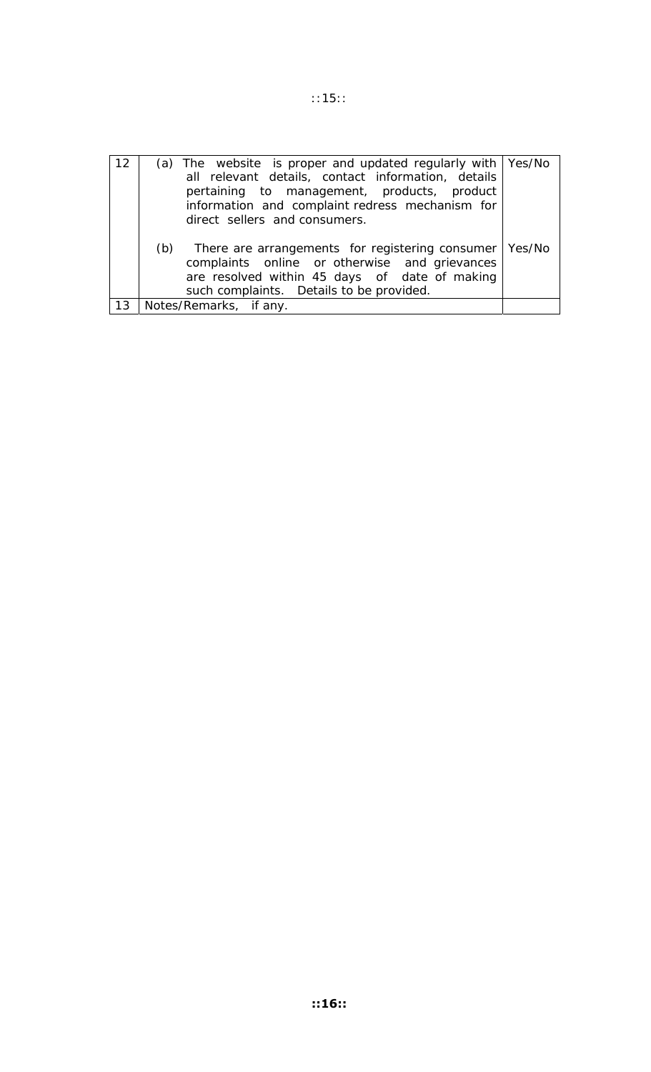| 12 | (a) The website is proper and updated regularly with $\frac{1}{1}$ Yes/No<br>all relevant details, contact information, details<br>pertaining to management, products, product<br>information and complaint redress mechanism for<br>direct sellers and consumers. |  |
|----|--------------------------------------------------------------------------------------------------------------------------------------------------------------------------------------------------------------------------------------------------------------------|--|
|    | There are arrangements for registering consumer   Yes/No<br>(b)<br>complaints online or otherwise and grievances<br>are resolved within 45 days of date of making<br>such complaints. Details to be provided.                                                      |  |
| 13 | Notes/Remarks, if any.                                                                                                                                                                                                                                             |  |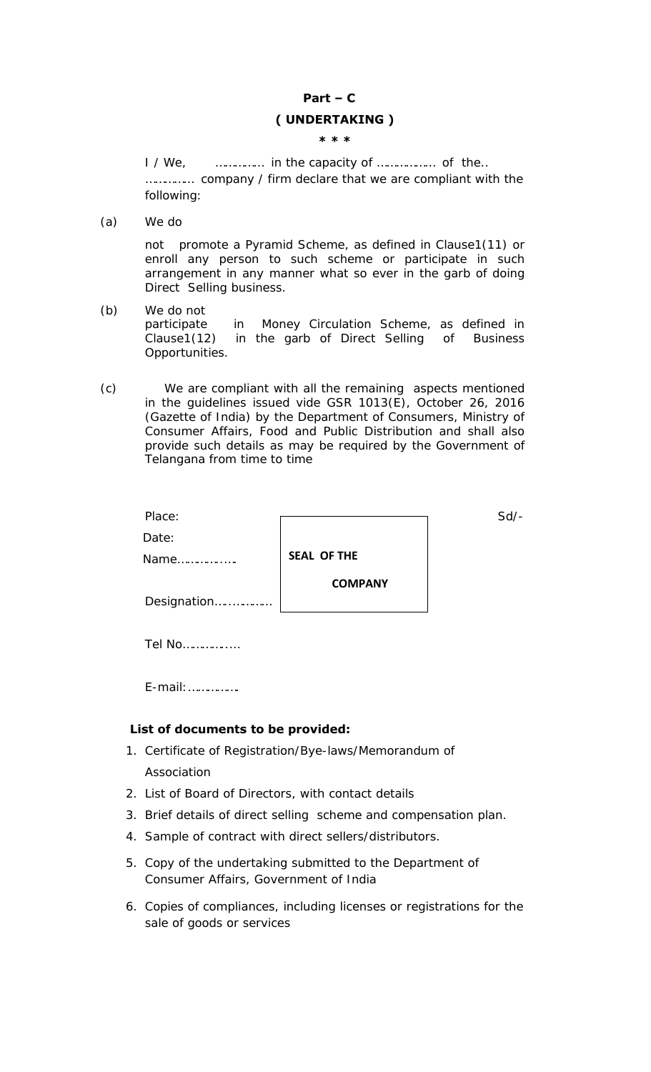# **Part – C ( UNDERTAKING ) \* \* \***

I / We, *musicancerical* in the capacity of *musicancerical* of the... …………… company / firm declare that we are compliant with the following:

(a) We do

not promote a Pyramid Scheme, as defined in Clause1(11) or enroll any person to such scheme or participate in such arrangement in any manner what so ever in the garb of doing Direct Selling business.

- (b) We do not participate in Money Circulation Scheme, as defined in Clause1(12) in the garb of Direct Selling of Business Opportunities.
- (c) We are compliant with all the remaining aspects mentioned in the guidelines issued vide GSR 1013(E), October 26, 2016 (Gazette of India) by the Department of Consumers, Ministry of Consumer Affairs, Food and Public Distribution and shall also provide such details as may be required by the Government of Telangana from time to time

| Place:       |                    | $Sd$ - |
|--------------|--------------------|--------|
| Date:        |                    |        |
| Name         | <b>SEAL OF THE</b> |        |
| Designation  | <b>COMPANY</b>     |        |
| Tel No.<br>. |                    |        |

E-mail:…………….

## **List of documents to be provided:**

- 1. Certificate of Registration/Bye-laws/Memorandum of Association
- 2. List of Board of Directors, with contact details
- 3. Brief details of direct selling scheme and compensation plan.
- 4. Sample of contract with direct sellers/distributors.
- 5. Copy of the undertaking submitted to the Department of Consumer Affairs, Government of India
- 6. Copies of compliances, including licenses or registrations for the sale of goods or services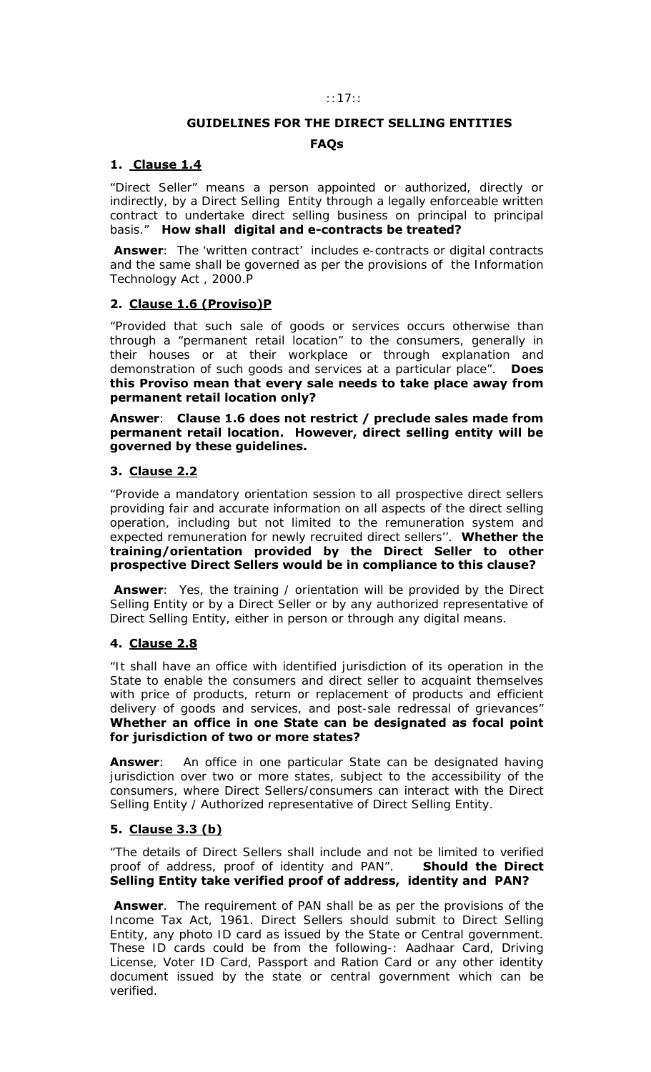### ::17::

## **GUIDELINES FOR THE DIRECT SELLING ENTITIES**

## **FAQs**

## **1. Clause 1.4**

"Direct Seller" means a person appointed or authorized, directly or indirectly, by a Direct Selling Entity through a legally enforceable written contract to undertake direct selling business on principal to principal basis." **How shall digital and e-contracts be treated?** 

 **Answer**: The 'written contract' includes e-contracts or digital contracts and the same shall be governed as per the provisions of the Information Technology Act , 2000.P

## **2. Clause 1.6 (Proviso)P**

"Provided that such sale of goods or services occurs otherwise than through a "permanent retail location" to the consumers, generally in their houses or at their workplace or through explanation and demonstration of such goods and services at a particular place". **Does this Proviso mean that every sale needs to take place away from permanent retail location only?** 

**Answer**: **Clause 1.6 does not restrict / preclude sales made from permanent retail location. However, direct selling entity will be governed by these guidelines.** 

## **3. Clause 2.2**

"Provide a mandatory orientation session to all prospective direct sellers providing fair and accurate information on all aspects of the direct selling operation, including but not limited to the remuneration system and expected remuneration for newly recruited direct sellers''. **Whether the training/orientation provided by the Direct Seller to other prospective Direct Sellers would be in compliance to this clause?** 

**Answer**: Yes, the training / orientation will be provided by the Direct Selling Entity or by a Direct Seller or by any authorized representative of Direct Selling Entity, either in person or through any digital means.

### **4. Clause 2.8**

"It shall have an office with identified jurisdiction of its operation in the State to enable the consumers and direct seller to acquaint themselves with price of products, return or replacement of products and efficient delivery of goods and services, and post-sale redressal of grievances" **Whether an office in one State can be designated as focal point for jurisdiction of two or more states?** 

**Answer:** An office in one particular State can be designated having jurisdiction over two or more states, subject to the accessibility of the consumers, where Direct Sellers/consumers can interact with the Direct Selling Entity / Authorized representative of Direct Selling Entity.

## **5. Clause 3.3 (b)**

"The details of Direct Sellers shall include and not be limited to verified proof of address, proof of identity and PAN". **Should the Direct Selling Entity take verified proof of address, identity and PAN?** 

 **Answer**. The requirement of PAN shall be as per the provisions of the Income Tax Act, 1961. Direct Sellers should submit to Direct Selling Entity, any photo ID card as issued by the State or Central government. These ID cards could be from the following-: Aadhaar Card, Driving License, Voter ID Card, Passport and Ration Card or any other identity document issued by the state or central government which can be verified.